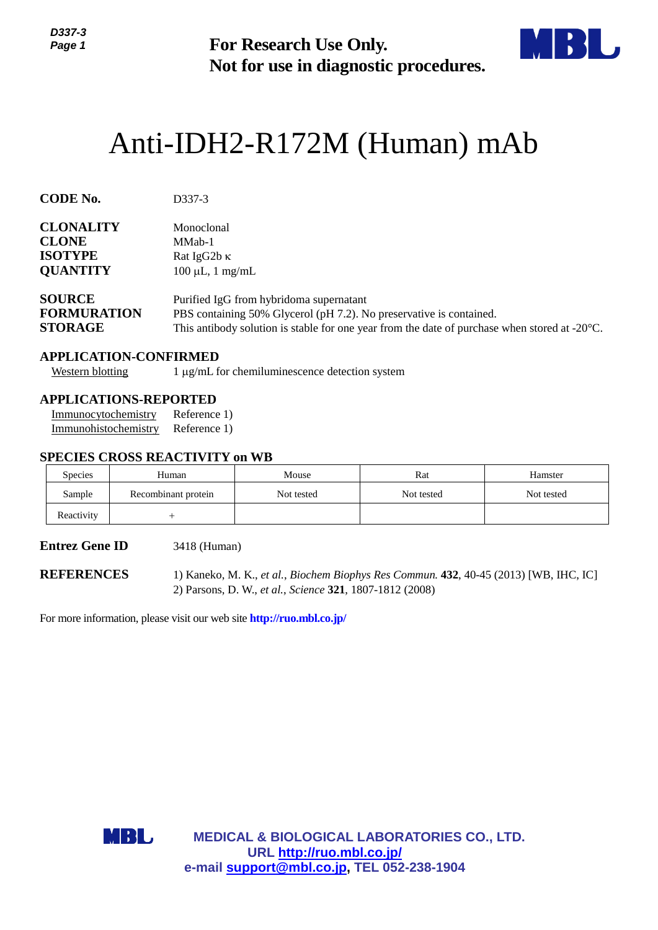

# Anti-IDH2-R172M (Human) mAb

| <b>ט- וטטע</b><br>Page 1                                                                                                               |     |                                                                                                                                                                                                                           | <b>For Research Use Only.</b>                                                | Not for use in diagnostic procedures.                  |            |  |  |
|----------------------------------------------------------------------------------------------------------------------------------------|-----|---------------------------------------------------------------------------------------------------------------------------------------------------------------------------------------------------------------------------|------------------------------------------------------------------------------|--------------------------------------------------------|------------|--|--|
|                                                                                                                                        |     |                                                                                                                                                                                                                           |                                                                              | Anti-IDH2-R172M (Human) mAb                            |            |  |  |
| <b>CODE No.</b>                                                                                                                        |     | D337-3                                                                                                                                                                                                                    |                                                                              |                                                        |            |  |  |
| <b>CLONALITY</b><br><b>CLONE</b><br><b>ISOTYPE</b><br><b>QUANTITY</b>                                                                  |     | Monoclonal<br>MMab-1<br>Rat IgG2b K<br>$100 \mu L$ , 1 mg/mL                                                                                                                                                              |                                                                              |                                                        |            |  |  |
| <b>SOURCE</b><br><b>FORMURATION</b><br><b>STORAGE</b>                                                                                  |     | Purified IgG from hybridoma supernatant<br>PBS containing 50% Glycerol (pH 7.2). No preservative is contained.<br>This antibody solution is stable for one year from the date of purchase when stored at $-20^{\circ}$ C. |                                                                              |                                                        |            |  |  |
| <b>APPLICATION-CONFIRMED</b><br><b>Western blotting</b><br><b>APPLICATIONS-REPORTED</b><br>Immunocytochemistry<br>Immunohistochemistry |     | Reference 1)<br>Reference 1)                                                                                                                                                                                              | $1 \mu g/mL$ for chemiluminescence detection system                          |                                                        |            |  |  |
|                                                                                                                                        |     | <b>SPECIES CROSS REACTIVITY on WB</b>                                                                                                                                                                                     |                                                                              |                                                        |            |  |  |
| Species                                                                                                                                |     | Human                                                                                                                                                                                                                     | Mouse                                                                        | Rat                                                    | Hamster    |  |  |
| Sample                                                                                                                                 |     | Recombinant protein                                                                                                                                                                                                       | Not tested                                                                   | Not tested                                             | Not tested |  |  |
| Reactivity                                                                                                                             |     | $\overline{+}$                                                                                                                                                                                                            |                                                                              |                                                        |            |  |  |
| <b>Entrez Gene ID</b>                                                                                                                  |     | 3418 (Human)                                                                                                                                                                                                              |                                                                              |                                                        |            |  |  |
| <b>REFERENCES</b>                                                                                                                      |     | 1) Kaneko, M. K., et al., Biochem Biophys Res Commun. 432, 40-45 (2013) [WB, IHC, IC]<br>2) Parsons, D. W., et al., Science 321, 1807-1812 (2008)                                                                         |                                                                              |                                                        |            |  |  |
|                                                                                                                                        |     |                                                                                                                                                                                                                           | For more information, please visit our web site <b>http://ruo.mbl.co.jp/</b> |                                                        |            |  |  |
|                                                                                                                                        |     |                                                                                                                                                                                                                           |                                                                              |                                                        |            |  |  |
|                                                                                                                                        |     |                                                                                                                                                                                                                           |                                                                              |                                                        |            |  |  |
|                                                                                                                                        |     |                                                                                                                                                                                                                           |                                                                              |                                                        |            |  |  |
|                                                                                                                                        | MBL |                                                                                                                                                                                                                           |                                                                              | <b>MEDICAL &amp; BIOLOGICAL LABORATORIES CO., LTD.</b> |            |  |  |
|                                                                                                                                        |     |                                                                                                                                                                                                                           | URL http://ruo.mbl.co.jp/<br>e-mail support@mbl.co.jp, TEL 052-238-1904      |                                                        |            |  |  |

## **APPLICATION-CONFIRMED**

## **APPLICATIONS-REPORTED**

#### **SPECIES CROSS REACTIVITY on WB**

| <b>Species</b> | Human               | Mouse      | Rat        | Hamster    |
|----------------|---------------------|------------|------------|------------|
| Sample         | Recombinant protein | Not tested | Not tested | Not tested |
| Reactivity     |                     |            |            |            |

#### **Entrez Gene ID** 3418 (Human)

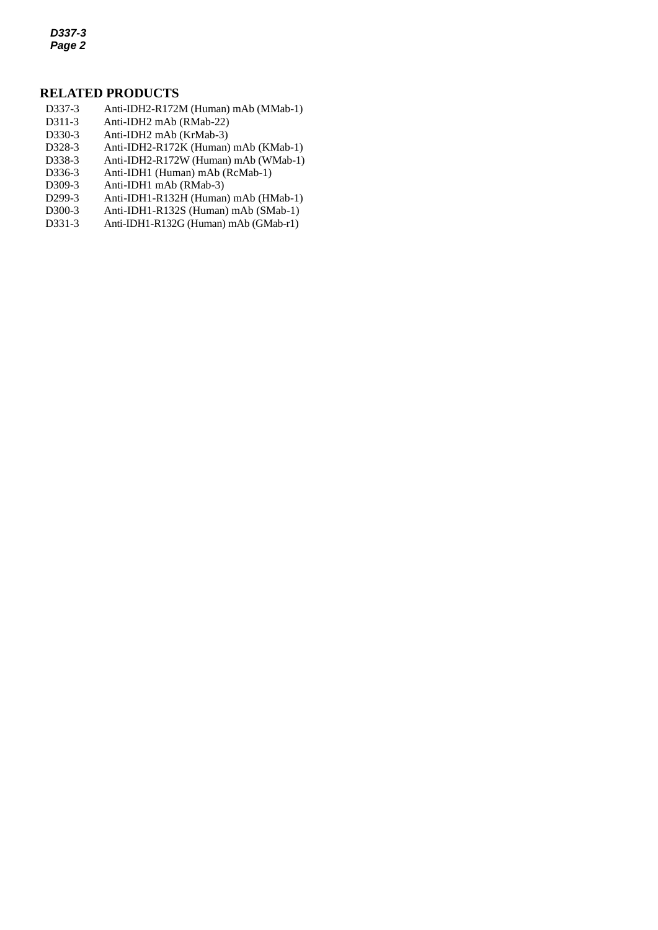*D337-3 Page 2*

# **RELATED PRODUCTS**

- D337-3 Anti-IDH2-R172M (Human) mAb (MMab-1)
- *2* D311-3 Anti-IDH2 mAb (RMab-22)
- D330-3 Anti-IDH2 mAb (KrMab-3)<br>D328-3 Anti-IDH2-R172K (Human)
- [Anti-IDH2-R172K](http://ruo.mbl.co.jp/dtl/A/D328-3/) (Human) mAb (KMab-1)
- D338-3 Anti-IDH2-R172W (Human) mAb (WMab-1)
- D336-3 Anti-IDH1 (Human) mAb (RcMab-1)
- D309-3 Anti-IDH1 mAb (RMab-3)
- D299-3 Anti-IDH1-R132H (Human) mAb (HMab-1)
- D300-3 Anti-IDH1-R132S (Human) mAb (SMab-1)
- D331-3 Anti-IDH1-R132G (Human) mAb (GMab-r1)